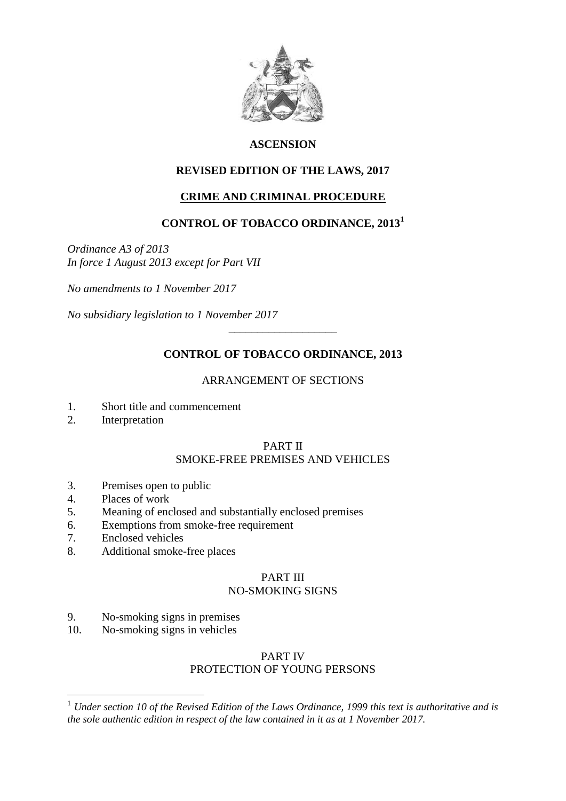

# **ASCENSION**

# **REVISED EDITION OF THE LAWS, 2017**

## **CRIME AND CRIMINAL PROCEDURE**

# **CONTROL OF TOBACCO ORDINANCE, 2013<sup>1</sup>**

*Ordinance A3 of 2013 In force 1 August 2013 except for Part VII*

*No amendments to 1 November 2017*

*No subsidiary legislation to 1 November 2017*

## **CONTROL OF TOBACCO ORDINANCE, 2013**

\_\_\_\_\_\_\_\_\_\_\_\_\_\_\_\_\_\_\_

#### ARRANGEMENT OF SECTIONS

- 1. Short title and commencement
- 2. Interpretation

# PART II

# SMOKE-FREE PREMISES AND VEHICLES

- 3. Premises open to public
- 4. Places of work
- 5. Meaning of enclosed and substantially enclosed premises
- 6. Exemptions from smoke-free requirement
- 7. Enclosed vehicles

 $\overline{a}$ 

8. Additional smoke-free places

# PART III

# NO-SMOKING SIGNS

- 9. No-smoking signs in premises
- 10. No-smoking signs in vehicles

## PART IV PROTECTION OF YOUNG PERSONS

<sup>1</sup> *Under section 10 of the Revised Edition of the Laws Ordinance, 1999 this text is authoritative and is the sole authentic edition in respect of the law contained in it as at 1 November 2017.*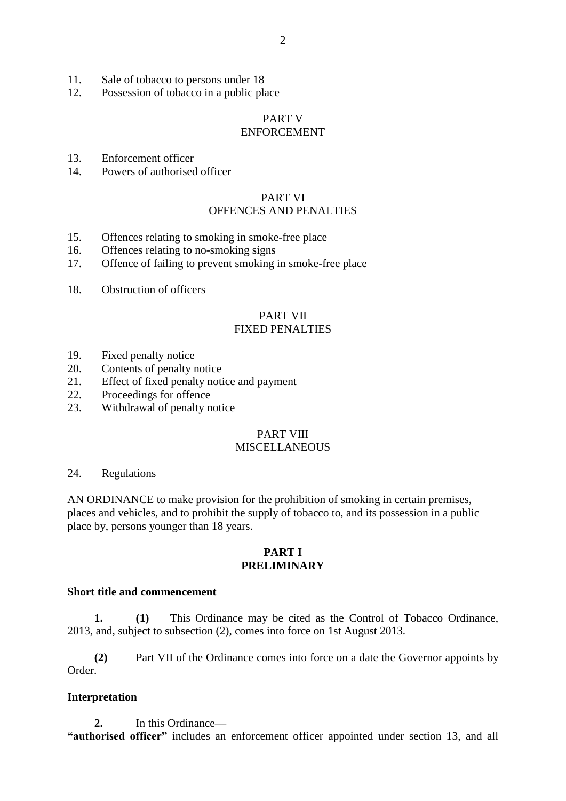- 11. Sale of tobacco to persons under 18
- 12. Possession of tobacco in a public place

#### PART V ENFORCEMENT

- 13. Enforcement officer
- 14. Powers of authorised officer

#### PART VI OFFENCES AND PENALTIES

- 15. Offences relating to smoking in smoke-free place
- 16. Offences relating to no-smoking signs
- 17. Offence of failing to prevent smoking in smoke-free place
- 18. Obstruction of officers

#### PART VII FIXED PENALTIES

- 19. Fixed penalty notice
- 20. Contents of penalty notice
- 21. Effect of fixed penalty notice and payment
- 22. Proceedings for offence
- 23. Withdrawal of penalty notice

# PART VIII

# **MISCELLANEOUS**

#### 24. Regulations

AN ORDINANCE to make provision for the prohibition of smoking in certain premises, places and vehicles, and to prohibit the supply of tobacco to, and its possession in a public place by, persons younger than 18 years.

#### **PART I PRELIMINARY**

#### **Short title and commencement**

**1. (1)** This Ordinance may be cited as the Control of Tobacco Ordinance, 2013, and, subject to subsection (2), comes into force on 1st August 2013.

**(2)** Part VII of the Ordinance comes into force on a date the Governor appoints by Order.

#### **Interpretation**

**2.** In this Ordinance— **"authorised officer"** includes an enforcement officer appointed under section 13, and all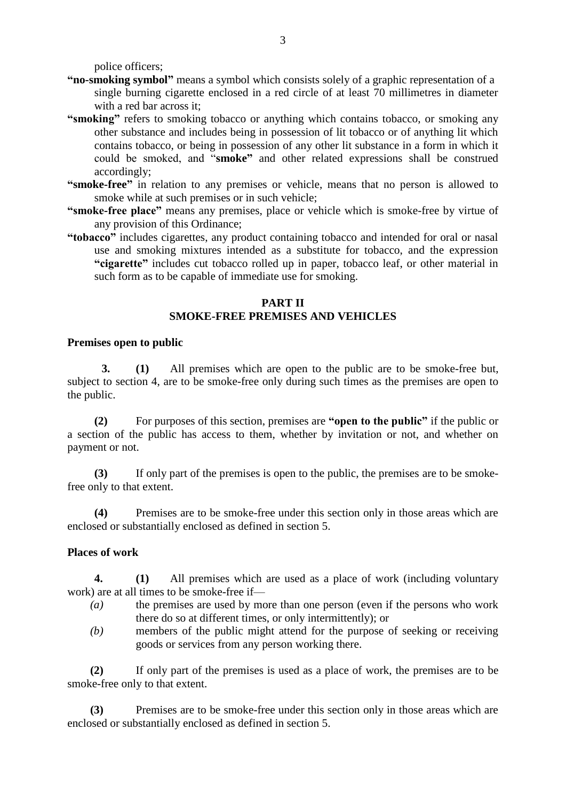police officers;

- **"no-smoking symbol"** means a symbol which consists solely of a graphic representation of a single burning cigarette enclosed in a red circle of at least 70 millimetres in diameter with a red bar across it;
- "smoking" refers to smoking tobacco or anything which contains tobacco, or smoking any other substance and includes being in possession of lit tobacco or of anything lit which contains tobacco, or being in possession of any other lit substance in a form in which it could be smoked, and "**smoke"** and other related expressions shall be construed accordingly;
- **"smoke-free"** in relation to any premises or vehicle, means that no person is allowed to smoke while at such premises or in such vehicle;
- **"smoke-free place"** means any premises, place or vehicle which is smoke-free by virtue of any provision of this Ordinance;
- **"tobacco"** includes cigarettes, any product containing tobacco and intended for oral or nasal use and smoking mixtures intended as a substitute for tobacco, and the expression **"cigarette"** includes cut tobacco rolled up in paper, tobacco leaf, or other material in such form as to be capable of immediate use for smoking.

#### **PART II SMOKE-FREE PREMISES AND VEHICLES**

#### **Premises open to public**

**3. (1)** All premises which are open to the public are to be smoke-free but, subject to section 4, are to be smoke-free only during such times as the premises are open to the public.

**(2)** For purposes of this section, premises are **"open to the public"** if the public or a section of the public has access to them, whether by invitation or not, and whether on payment or not.

**(3)** If only part of the premises is open to the public, the premises are to be smokefree only to that extent.

**(4)** Premises are to be smoke-free under this section only in those areas which are enclosed or substantially enclosed as defined in section 5.

#### **Places of work**

**4. (1)** All premises which are used as a place of work (including voluntary work) are at all times to be smoke-free if—

- *(a)* the premises are used by more than one person (even if the persons who work there do so at different times, or only intermittently); or
- *(b)* members of the public might attend for the purpose of seeking or receiving goods or services from any person working there.

**(2)** If only part of the premises is used as a place of work, the premises are to be smoke-free only to that extent.

**(3)** Premises are to be smoke-free under this section only in those areas which are enclosed or substantially enclosed as defined in section 5.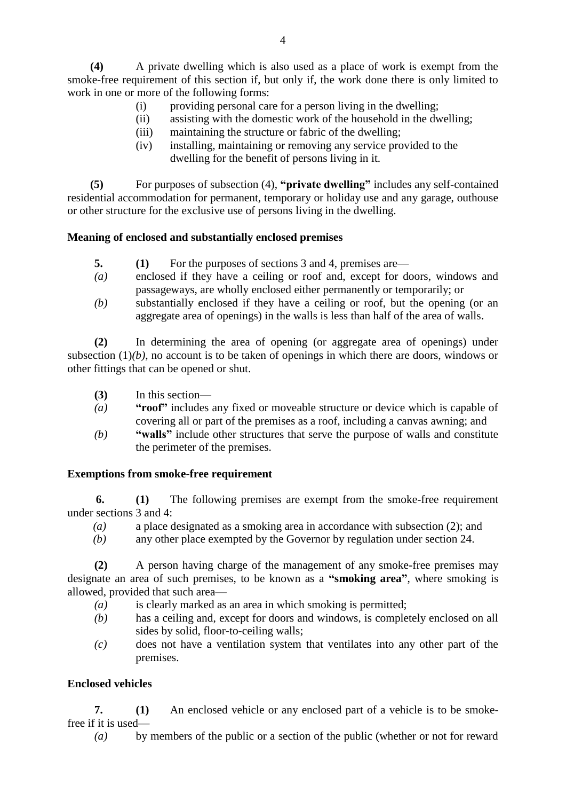**(4)** A private dwelling which is also used as a place of work is exempt from the smoke-free requirement of this section if, but only if, the work done there is only limited to work in one or more of the following forms:

- (i) providing personal care for a person living in the dwelling;
- (ii) assisting with the domestic work of the household in the dwelling;
- (iii) maintaining the structure or fabric of the dwelling;
- (iv) installing, maintaining or removing any service provided to the dwelling for the benefit of persons living in it.

**(5)** For purposes of subsection (4), **"private dwelling"** includes any self-contained residential accommodation for permanent, temporary or holiday use and any garage, outhouse or other structure for the exclusive use of persons living in the dwelling.

#### **Meaning of enclosed and substantially enclosed premises**

- **5. (1)** For the purposes of sections 3 and 4, premises are—
- *(a)* enclosed if they have a ceiling or roof and, except for doors, windows and passageways, are wholly enclosed either permanently or temporarily; or
- *(b)* substantially enclosed if they have a ceiling or roof, but the opening (or an aggregate area of openings) in the walls is less than half of the area of walls.

**(2)** In determining the area of opening (or aggregate area of openings) under subsection  $(1)(b)$ , no account is to be taken of openings in which there are doors, windows or other fittings that can be opened or shut.

- **(3)** In this section—
- *(a)* **"roof"** includes any fixed or moveable structure or device which is capable of covering all or part of the premises as a roof, including a canvas awning; and
- *(b)* **"walls"** include other structures that serve the purpose of walls and constitute the perimeter of the premises.

#### **Exemptions from smoke-free requirement**

 **6. (1)** The following premises are exempt from the smoke-free requirement under sections 3 and 4:

- *(a)* a place designated as a smoking area in accordance with subsection (2); and
- *(b)* any other place exempted by the Governor by regulation under section 24.

**(2)** A person having charge of the management of any smoke-free premises may designate an area of such premises, to be known as a **"smoking area"**, where smoking is allowed, provided that such area—

- *(a)* is clearly marked as an area in which smoking is permitted;
- *(b)* has a ceiling and, except for doors and windows, is completely enclosed on all sides by solid, floor-to-ceiling walls;
- *(c)* does not have a ventilation system that ventilates into any other part of the premises.

#### **Enclosed vehicles**

**7. (1)** An enclosed vehicle or any enclosed part of a vehicle is to be smokefree if it is used—

*(a)* by members of the public or a section of the public (whether or not for reward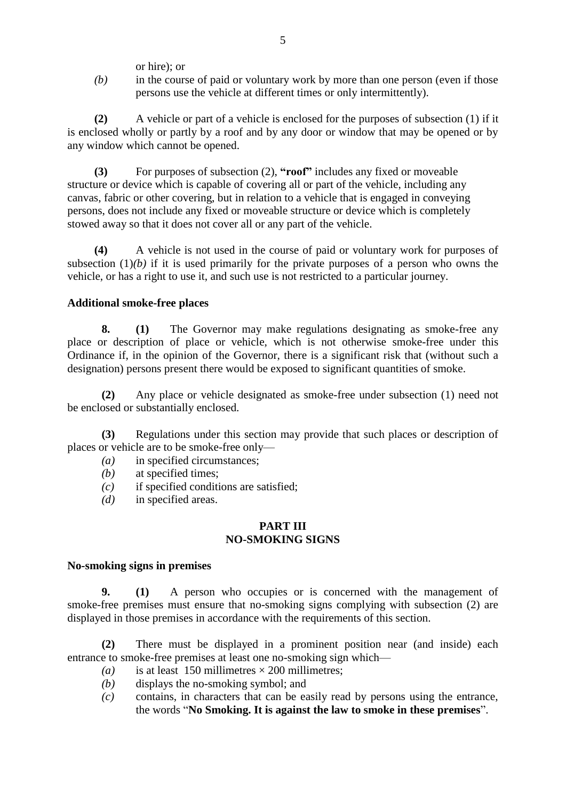or hire); or

*(b)* in the course of paid or voluntary work by more than one person (even if those persons use the vehicle at different times or only intermittently).

**(2)** A vehicle or part of a vehicle is enclosed for the purposes of subsection (1) if it is enclosed wholly or partly by a roof and by any door or window that may be opened or by any window which cannot be opened.

**(3)** For purposes of subsection (2), **"roof"** includes any fixed or moveable structure or device which is capable of covering all or part of the vehicle, including any canvas, fabric or other covering, but in relation to a vehicle that is engaged in conveying persons, does not include any fixed or moveable structure or device which is completely stowed away so that it does not cover all or any part of the vehicle.

**(4)** A vehicle is not used in the course of paid or voluntary work for purposes of subsection  $(1)(b)$  if it is used primarily for the private purposes of a person who owns the vehicle, or has a right to use it, and such use is not restricted to a particular journey.

#### **Additional smoke-free places**

**8. (1)** The Governor may make regulations designating as smoke-free any place or description of place or vehicle, which is not otherwise smoke-free under this Ordinance if, in the opinion of the Governor, there is a significant risk that (without such a designation) persons present there would be exposed to significant quantities of smoke.

**(2)** Any place or vehicle designated as smoke-free under subsection (1) need not be enclosed or substantially enclosed.

**(3)** Regulations under this section may provide that such places or description of places or vehicle are to be smoke-free only—

- *(a)* in specified circumstances;
- *(b)* at specified times;
- *(c)* if specified conditions are satisfied;
- *(d)* in specified areas.

#### **PART III NO-SMOKING SIGNS**

#### **No-smoking signs in premises**

**9. (1)** A person who occupies or is concerned with the management of smoke-free premises must ensure that no-smoking signs complying with subsection (2) are displayed in those premises in accordance with the requirements of this section.

**(2)** There must be displayed in a prominent position near (and inside) each entrance to smoke-free premises at least one no-smoking sign which—

- (a) is at least 150 millimetres  $\times$  200 millimetres;
- *(b)* displays the no-smoking symbol; and
- *(c)* contains, in characters that can be easily read by persons using the entrance, the words "**No Smoking. It is against the law to smoke in these premises**".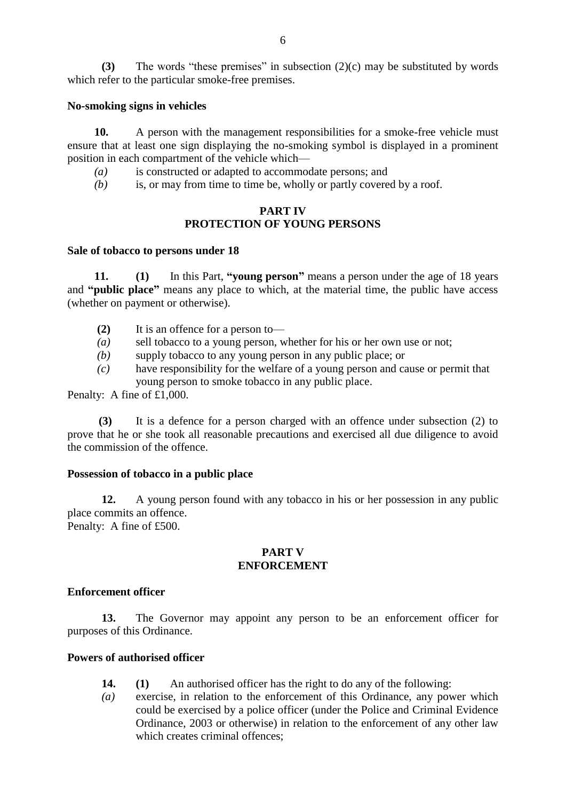**(3)** The words "these premises" in subsection (2)(c) may be substituted by words which refer to the particular smoke-free premises.

#### **No-smoking signs in vehicles**

**10.** A person with the management responsibilities for a smoke-free vehicle must ensure that at least one sign displaying the no-smoking symbol is displayed in a prominent position in each compartment of the vehicle which—

- *(a)* is constructed or adapted to accommodate persons; and
- *(b)* is, or may from time to time be, wholly or partly covered by a roof.

#### **PART IV PROTECTION OF YOUNG PERSONS**

#### **Sale of tobacco to persons under 18**

**11. (1)** In this Part, **"young person"** means a person under the age of 18 years and **"public place"** means any place to which, at the material time, the public have access (whether on payment or otherwise).

- **(2)** It is an offence for a person to—
- *(a)* sell tobacco to a young person, whether for his or her own use or not;
- *(b)* supply tobacco to any young person in any public place; or
- *(c)* have responsibility for the welfare of a young person and cause or permit that young person to smoke tobacco in any public place.

Penalty: A fine of £1,000.

 **(3)** It is a defence for a person charged with an offence under subsection (2) to prove that he or she took all reasonable precautions and exercised all due diligence to avoid the commission of the offence.

#### **Possession of tobacco in a public place**

**12.** A young person found with any tobacco in his or her possession in any public place commits an offence. Penalty: A fine of £500.

#### **PART V ENFORCEMENT**

#### **Enforcement officer**

**13.** The Governor may appoint any person to be an enforcement officer for purposes of this Ordinance.

#### **Powers of authorised officer**

- **14. (1)** An authorised officer has the right to do any of the following:
- *(a)* exercise, in relation to the enforcement of this Ordinance, any power which could be exercised by a police officer (under the Police and Criminal Evidence Ordinance, 2003 or otherwise) in relation to the enforcement of any other law which creates criminal offences: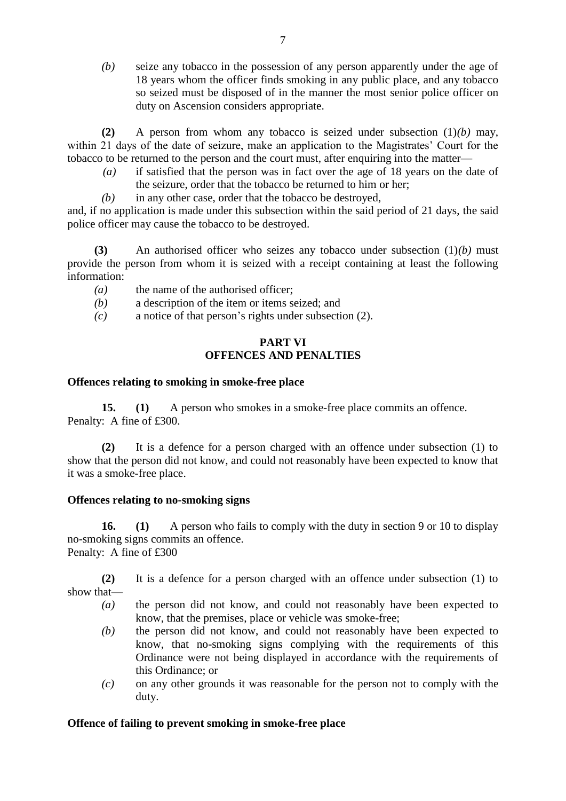*(b)* seize any tobacco in the possession of any person apparently under the age of 18 years whom the officer finds smoking in any public place, and any tobacco so seized must be disposed of in the manner the most senior police officer on duty on Ascension considers appropriate.

 **(2)** A person from whom any tobacco is seized under subsection (1)*(b)* may, within 21 days of the date of seizure, make an application to the Magistrates' Court for the tobacco to be returned to the person and the court must, after enquiring into the matter—

- *(a)* if satisfied that the person was in fact over the age of 18 years on the date of the seizure, order that the tobacco be returned to him or her;
- *(b)* in any other case, order that the tobacco be destroyed,

and, if no application is made under this subsection within the said period of 21 days, the said police officer may cause the tobacco to be destroyed.

**(3)** An authorised officer who seizes any tobacco under subsection (1)*(b)* must provide the person from whom it is seized with a receipt containing at least the following information:

- *(a)* the name of the authorised officer;
- *(b)* a description of the item or items seized; and
- *(c)* a notice of that person's rights under subsection (2).

## **PART VI OFFENCES AND PENALTIES**

#### **Offences relating to smoking in smoke-free place**

**15. (1)** A person who smokes in a smoke-free place commits an offence. Penalty: A fine of £300.

**(2)** It is a defence for a person charged with an offence under subsection (1) to show that the person did not know, and could not reasonably have been expected to know that it was a smoke-free place.

#### **Offences relating to no-smoking signs**

**16. (1)** A person who fails to comply with the duty in section 9 or 10 to display no-smoking signs commits an offence. Penalty: A fine of £300

**(2)** It is a defence for a person charged with an offence under subsection (1) to show that—

- *(a)* the person did not know, and could not reasonably have been expected to know, that the premises, place or vehicle was smoke-free;
- *(b)* the person did not know, and could not reasonably have been expected to know, that no-smoking signs complying with the requirements of this Ordinance were not being displayed in accordance with the requirements of this Ordinance; or
- *(c)* on any other grounds it was reasonable for the person not to comply with the duty.

#### **Offence of failing to prevent smoking in smoke-free place**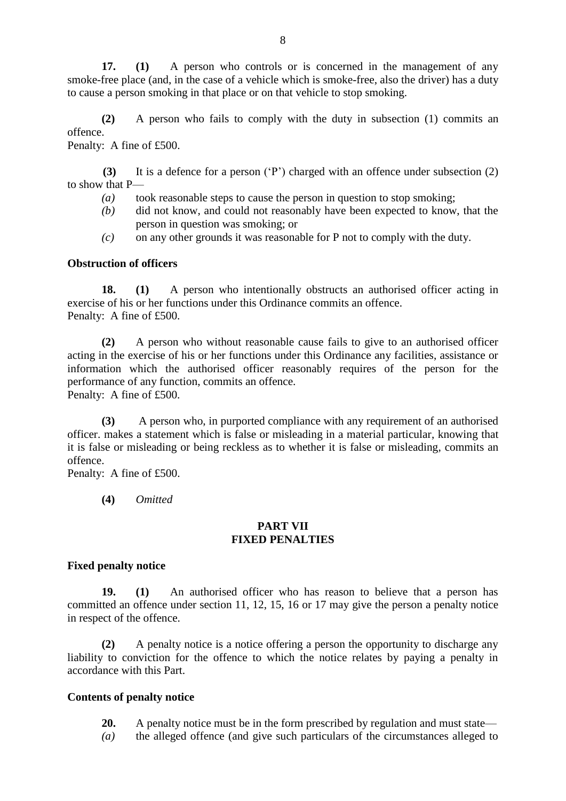**17. (1)** A person who controls or is concerned in the management of any smoke-free place (and, in the case of a vehicle which is smoke-free, also the driver) has a duty to cause a person smoking in that place or on that vehicle to stop smoking.

**(2)** A person who fails to comply with the duty in subsection (1) commits an offence.

Penalty: A fine of £500.

 **(3)** It is a defence for a person ('P') charged with an offence under subsection (2) to show that P—

- *(a)* took reasonable steps to cause the person in question to stop smoking;
- *(b)* did not know, and could not reasonably have been expected to know, that the person in question was smoking; or
- *(c)* on any other grounds it was reasonable for P not to comply with the duty.

#### **Obstruction of officers**

**18. (1)** A person who intentionally obstructs an authorised officer acting in exercise of his or her functions under this Ordinance commits an offence. Penalty: A fine of £500.

**(2)** A person who without reasonable cause fails to give to an authorised officer acting in the exercise of his or her functions under this Ordinance any facilities, assistance or information which the authorised officer reasonably requires of the person for the performance of any function, commits an offence. Penalty: A fine of £500.

**(3)** A person who, in purported compliance with any requirement of an authorised officer. makes a statement which is false or misleading in a material particular, knowing that it is false or misleading or being reckless as to whether it is false or misleading, commits an offence.

Penalty: A fine of £500.

**(4)** *Omitted*

#### **PART VII FIXED PENALTIES**

#### **Fixed penalty notice**

**19. (1)** An authorised officer who has reason to believe that a person has committed an offence under section 11, 12, 15, 16 or 17 may give the person a penalty notice in respect of the offence.

**(2)** A penalty notice is a notice offering a person the opportunity to discharge any liability to conviction for the offence to which the notice relates by paying a penalty in accordance with this Part.

#### **Contents of penalty notice**

- **20.** A penalty notice must be in the form prescribed by regulation and must state—
- *(a)* the alleged offence (and give such particulars of the circumstances alleged to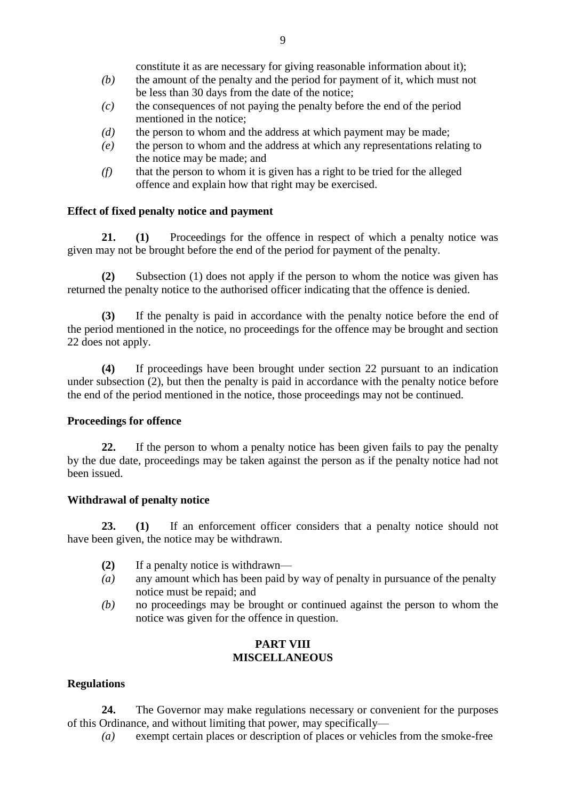constitute it as are necessary for giving reasonable information about it);

- *(b)* the amount of the penalty and the period for payment of it, which must not be less than 30 days from the date of the notice;
- *(c)* the consequences of not paying the penalty before the end of the period mentioned in the notice;
- *(d)* the person to whom and the address at which payment may be made;
- *(e)* the person to whom and the address at which any representations relating to the notice may be made; and
- *(f)* that the person to whom it is given has a right to be tried for the alleged offence and explain how that right may be exercised.

#### **Effect of fixed penalty notice and payment**

**21. (1)** Proceedings for the offence in respect of which a penalty notice was given may not be brought before the end of the period for payment of the penalty.

**(2)** Subsection (1) does not apply if the person to whom the notice was given has returned the penalty notice to the authorised officer indicating that the offence is denied.

**(3)** If the penalty is paid in accordance with the penalty notice before the end of the period mentioned in the notice, no proceedings for the offence may be brought and section 22 does not apply.

**(4)** If proceedings have been brought under section 22 pursuant to an indication under subsection (2), but then the penalty is paid in accordance with the penalty notice before the end of the period mentioned in the notice, those proceedings may not be continued.

#### **Proceedings for offence**

**22.** If the person to whom a penalty notice has been given fails to pay the penalty by the due date, proceedings may be taken against the person as if the penalty notice had not been issued.

#### **Withdrawal of penalty notice**

**23. (1)** If an enforcement officer considers that a penalty notice should not have been given, the notice may be withdrawn.

- **(2)** If a penalty notice is withdrawn—
- *(a)* any amount which has been paid by way of penalty in pursuance of the penalty notice must be repaid; and
- *(b)* no proceedings may be brought or continued against the person to whom the notice was given for the offence in question.

#### **PART VIII MISCELLANEOUS**

#### **Regulations**

**24.** The Governor may make regulations necessary or convenient for the purposes of this Ordinance, and without limiting that power, may specifically—

*(a)* exempt certain places or description of places or vehicles from the smoke-free